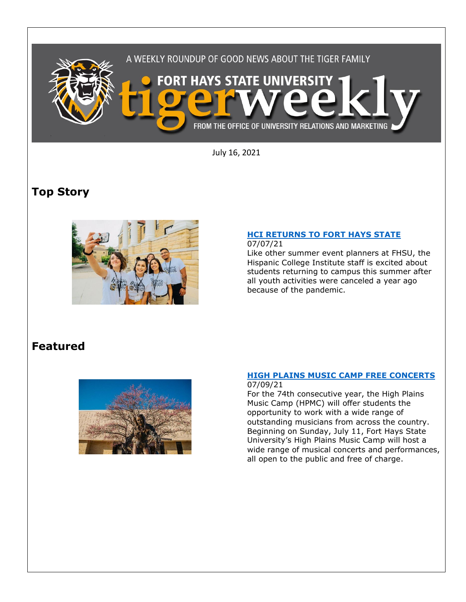

July 16, 2021

# **Top Story**



### **[HCI RETURNS TO FORT HAYS STATE](https://www.fhsu.edu/news/2021/07/hci-returns-to-fort-hays-state)**

### 07/07/21

Like other summer event planners at FHSU, the Hispanic College Institute staff is excited about students returning to campus this summer after all youth activities were canceled a year ago because of the pandemic.

# **Featured**



#### **HIGH [PLAINS MUSIC CAMP FREE CONCERTS](https://www.fhsu.edu/news/2021/07/high-plains-music-camp-free-concerts)**

07/09/21

For the 74th consecutive year, the High Plains Music Camp (HPMC) will offer students the opportunity to work with a wide range of outstanding musicians from across the country. Beginning on Sunday, July 11, Fort Hays State University's High Plains Music Camp will host a wide range of musical concerts and performances, all open to the public and free of charge.